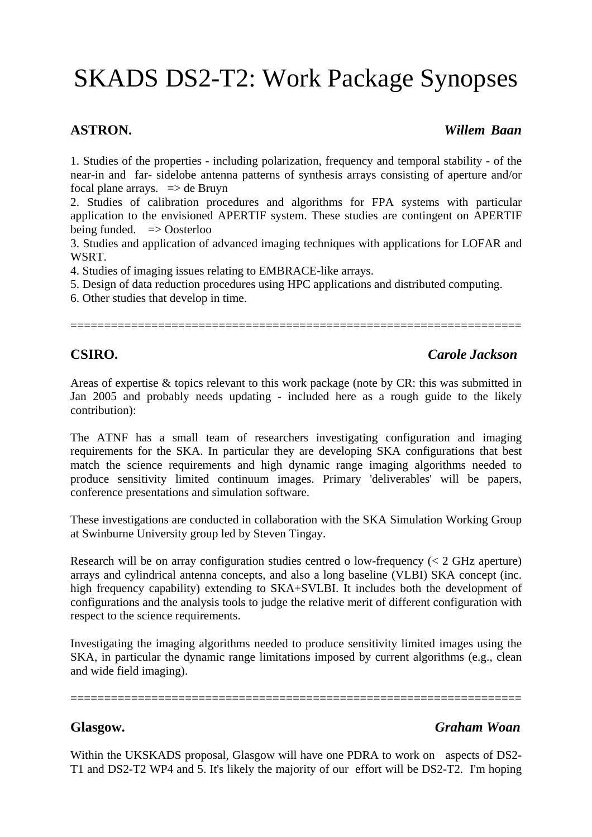# SKADS DS2-T2: Work Package Synopses

### **ASTRON.** *Willem Baan*

1. Studies of the properties - including polarization, frequency and temporal stability - of the near-in and far- sidelobe antenna patterns of synthesis arrays consisting of aperture and/or focal plane arrays.  $\Rightarrow$  de Bruyn

2. Studies of calibration procedures and algorithms for FPA systems with particular application to the envisioned APERTIF system. These studies are contingent on APERTIF being funded.  $\Rightarrow$  Oosterloo

3. Studies and application of advanced imaging techniques with applications for LOFAR and WSRT.

4. Studies of imaging issues relating to EMBRACE-like arrays.

5. Design of data reduction procedures using HPC applications and distributed computing.

6. Other studies that develop in time.

===================================================================

# **CSIRO.** *Carole Jackson*

Areas of expertise & topics relevant to this work package (note by CR: this was submitted in Jan 2005 and probably needs updating - included here as a rough guide to the likely contribution):

The ATNF has a small team of researchers investigating configuration and imaging requirements for the SKA. In particular they are developing SKA configurations that best match the science requirements and high dynamic range imaging algorithms needed to produce sensitivity limited continuum images. Primary 'deliverables' will be papers, conference presentations and simulation software.

These investigations are conducted in collaboration with the SKA Simulation Working Group at Swinburne University group led by Steven Tingay.

Research will be on array configuration studies centred o low-frequency (< 2 GHz aperture) arrays and cylindrical antenna concepts, and also a long baseline (VLBI) SKA concept (inc. high frequency capability) extending to SKA+SVLBI. It includes both the development of configurations and the analysis tools to judge the relative merit of different configuration with respect to the science requirements.

Investigating the imaging algorithms needed to produce sensitivity limited images using the SKA, in particular the dynamic range limitations imposed by current algorithms (e.g., clean and wide field imaging).

===================================================================

# **Glasgow.** *Graham Woan*

Within the UKSKADS proposal, Glasgow will have one PDRA to work on aspects of DS2-T1 and DS2-T2 WP4 and 5. It's likely the majority of our effort will be DS2-T2. I'm hoping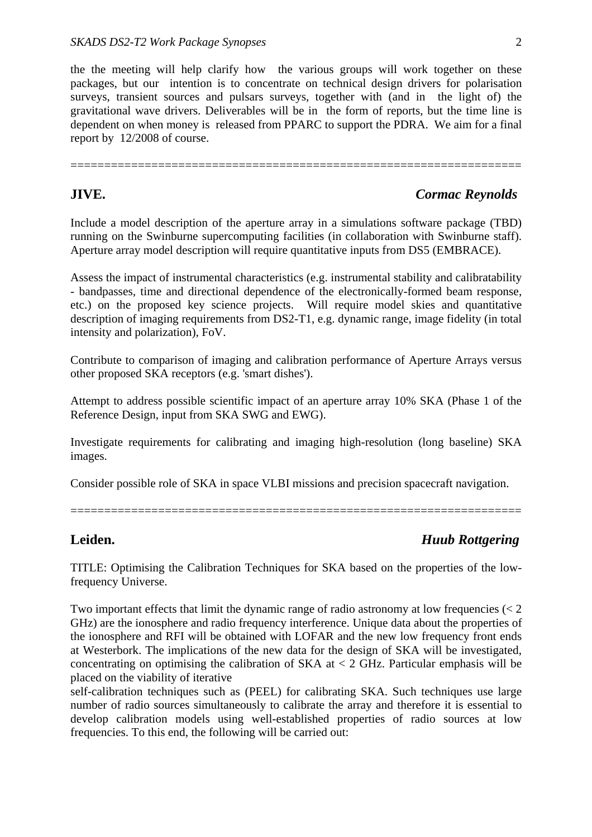the the meeting will help clarify how the various groups will work together on these packages, but our intention is to concentrate on technical design drivers for polarisation surveys, transient sources and pulsars surveys, together with (and in the light of) the gravitational wave drivers. Deliverables will be in the form of reports, but the time line is dependent on when money is released from PPARC to support the PDRA. We aim for a final report by 12/2008 of course.

===================================================================

## **JIVE.** *Cormac Reynolds*

Include a model description of the aperture array in a simulations software package (TBD) running on the Swinburne supercomputing facilities (in collaboration with Swinburne staff). Aperture array model description will require quantitative inputs from DS5 (EMBRACE).

Assess the impact of instrumental characteristics (e.g. instrumental stability and calibratability - bandpasses, time and directional dependence of the electronically-formed beam response, etc.) on the proposed key science projects. Will require model skies and quantitative description of imaging requirements from DS2-T1, e.g. dynamic range, image fidelity (in total intensity and polarization), FoV.

Contribute to comparison of imaging and calibration performance of Aperture Arrays versus other proposed SKA receptors (e.g. 'smart dishes').

Attempt to address possible scientific impact of an aperture array 10% SKA (Phase 1 of the Reference Design, input from SKA SWG and EWG).

Investigate requirements for calibrating and imaging high-resolution (long baseline) SKA images.

Consider possible role of SKA in space VLBI missions and precision spacecraft navigation.

===================================================================

# **Leiden.** *Huub Rottgering*

TITLE: Optimising the Calibration Techniques for SKA based on the properties of the lowfrequency Universe.

Two important effects that limit the dynamic range of radio astronomy at low frequencies  $\langle \langle 2 \rangle$ GHz) are the ionosphere and radio frequency interference. Unique data about the properties of the ionosphere and RFI will be obtained with LOFAR and the new low frequency front ends at Westerbork. The implications of the new data for the design of SKA will be investigated, concentrating on optimising the calibration of SKA at  $<$  2 GHz. Particular emphasis will be placed on the viability of iterative

self-calibration techniques such as (PEEL) for calibrating SKA. Such techniques use large number of radio sources simultaneously to calibrate the array and therefore it is essential to develop calibration models using well-established properties of radio sources at low frequencies. To this end, the following will be carried out: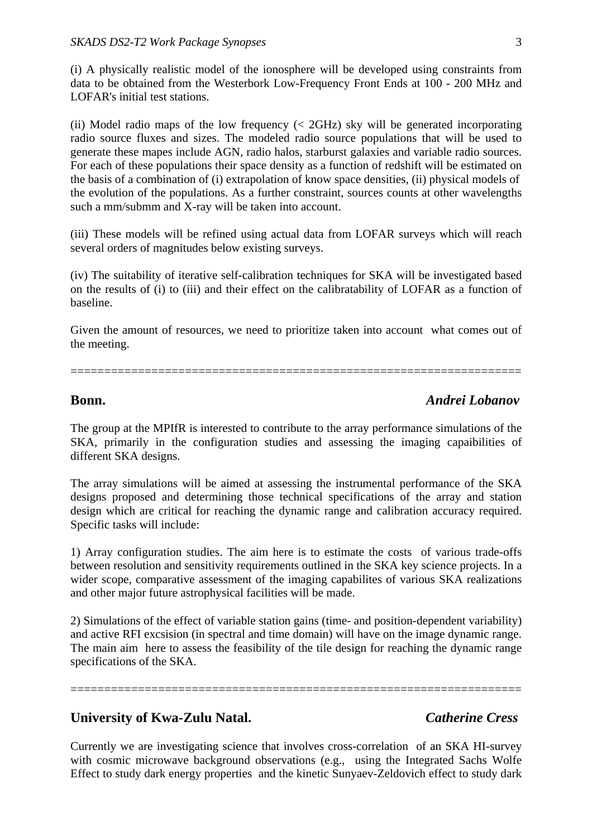(i) A physically realistic model of the ionosphere will be developed using constraints from data to be obtained from the Westerbork Low-Frequency Front Ends at 100 - 200 MHz and LOFAR's initial test stations.

(ii) Model radio maps of the low frequency  $\langle \langle 2 \text{GHz} \rangle$  sky will be generated incorporating radio source fluxes and sizes. The modeled radio source populations that will be used to generate these mapes include AGN, radio halos, starburst galaxies and variable radio sources. For each of these populations their space density as a function of redshift will be estimated on the basis of a combination of (i) extrapolation of know space densities, (ii) physical models of the evolution of the populations. As a further constraint, sources counts at other wavelengths such a mm/submm and X-ray will be taken into account.

(iii) These models will be refined using actual data from LOFAR surveys which will reach several orders of magnitudes below existing surveys.

(iv) The suitability of iterative self-calibration techniques for SKA will be investigated based on the results of (i) to (iii) and their effect on the calibratability of LOFAR as a function of baseline.

Given the amount of resources, we need to prioritize taken into account what comes out of the meeting.

===================================================================

### **Bonn.** *Andrei Lobanov*

The group at the MPIfR is interested to contribute to the array performance simulations of the SKA, primarily in the configuration studies and assessing the imaging capaibilities of different SKA designs.

The array simulations will be aimed at assessing the instrumental performance of the SKA designs proposed and determining those technical specifications of the array and station design which are critical for reaching the dynamic range and calibration accuracy required. Specific tasks will include:

1) Array configuration studies. The aim here is to estimate the costs of various trade-offs between resolution and sensitivity requirements outlined in the SKA key science projects. In a wider scope, comparative assessment of the imaging capabilites of various SKA realizations and other major future astrophysical facilities will be made.

2) Simulations of the effect of variable station gains (time- and position-dependent variability) and active RFI excsision (in spectral and time domain) will have on the image dynamic range. The main aim here to assess the feasibility of the tile design for reaching the dynamic range specifications of the SKA.

===================================================================

## **University of Kwa-Zulu Natal.** *Catherine Cress*

Currently we are investigating science that involves cross-correlation of an SKA HI-survey with cosmic microwave background observations (e.g., using the Integrated Sachs Wolfe Effect to study dark energy properties and the kinetic Sunyaev-Zeldovich effect to study dark